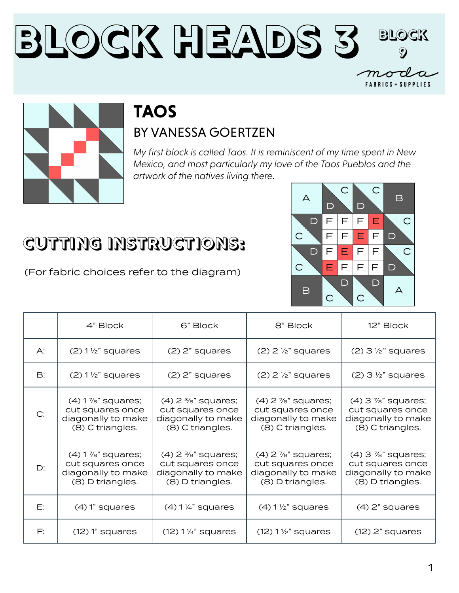#### **Block Heads 3 Block 9** $-m \sigma$ **FABRICS + SUPPLIES**



# **TAOS**

#### BY VANESSA GOERTZEN

*My first block is called Taos. It is reminiscent of my time spent in New Mexico, and most particularly my love of the Taos Pueblos and the artwork of the natives living there.*

### **CUTTING INSTRUCTIONS:**

(For fabric choices refer to the diagram)



|    | 4" Block                                                                              | 6" Block                                                                                       | 8" Block                                                                                       | 12" Block                                                                                      |
|----|---------------------------------------------------------------------------------------|------------------------------------------------------------------------------------------------|------------------------------------------------------------------------------------------------|------------------------------------------------------------------------------------------------|
| A: | $(2)$ 1 $\frac{1}{2}$ " squares                                                       | $(2)$ 2" squares                                                                               | $(2)$ 2 $\frac{1}{2}$ " squares                                                                | $(2)$ 3 $\frac{1}{2}$ " squares                                                                |
| B: | $(2)$ 1 $\frac{1}{2}$ " squares                                                       | $(2)$ 2" squares                                                                               | $(2)$ 2 $\frac{1}{2}$ squares                                                                  | $(2)$ 3 $\frac{1}{2}$ " squares                                                                |
| C: | $(4)$ 1 $\%$ " squares;<br>cut squares once<br>diagonally to make<br>(8) C triangles. | $(4)$ 2 $\frac{3}{8}$ " squares;<br>cut squares once<br>diagonally to make<br>(8) C triangles. | $(4)$ 2 $\frac{7}{8}$ " squares;<br>cut squares once<br>diagonally to make<br>(8) C triangles. | $(4)$ 3 $\frac{7}{8}$ " squares;<br>cut squares once<br>diagonally to make<br>(8) C triangles. |
| D: | $(4)$ 1 $\%$ " squares;<br>cut squares once<br>diagonally to make<br>(8) D triangles. | $(4)$ 2 $\frac{3}{8}$ " squares;<br>cut squares once<br>diagonally to make<br>(8) D triangles. | $(4)$ 2 $\frac{7}{8}$ " squares;<br>cut squares once<br>diagonally to make<br>(8) D triangles. | $(4)$ 3 $\frac{7}{8}$ " squares;<br>cut squares once<br>diagonally to make<br>(8) D triangles. |
| E: | $(4)$ 1" squares                                                                      | $(4)$ 1 $\frac{1}{4}$ " squares                                                                | $(4)$ 1 $\frac{1}{2}$ " squares                                                                | $(4)$ 2" squares                                                                               |
| F: | $(12)$ 1" squares                                                                     | $(12) 1\frac{1}{4}$ squares                                                                    | $(12) 1 \frac{1}{2}$ squares                                                                   | $(12)$ 2" squares                                                                              |